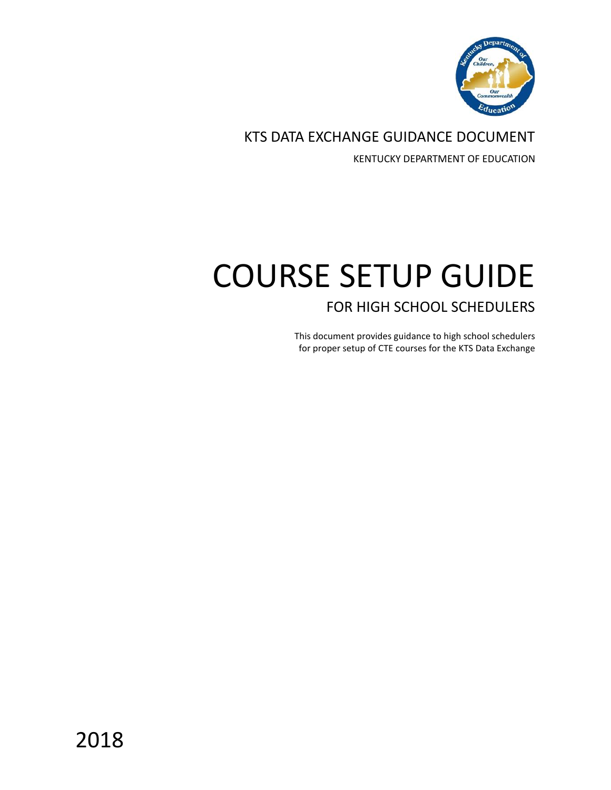

KTS DATA EXCHANGE GUIDANCE DOCUMENT

KENTUCKY DEPARTMENT OF EDUCATION

# COURSE SETUP GUIDE FOR HIGH SCHOOL SCHEDULERS

This document provides guidance to high school schedulers for proper setup of CTE courses for the KTS Data Exchange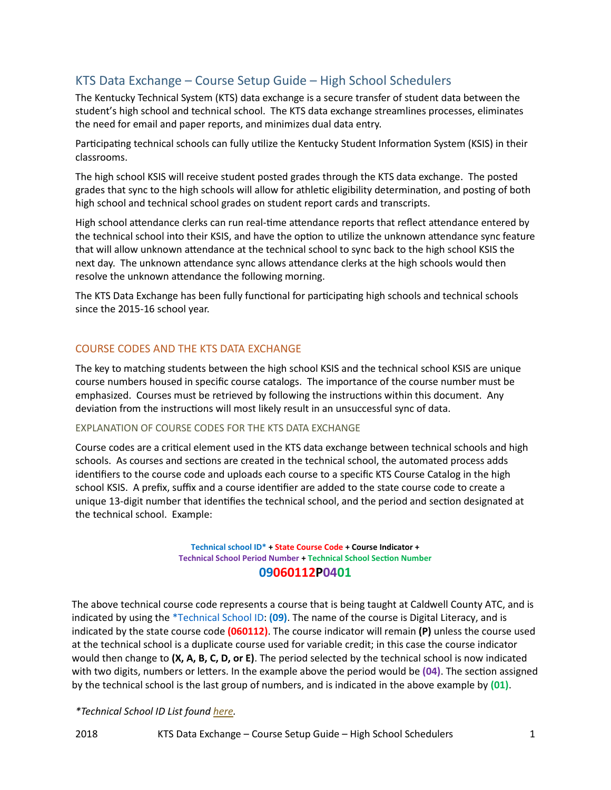# KTS Data Exchange – Course Setup Guide – High School Schedulers

The Kentucky Technical System (KTS) data exchange is a secure transfer of student data between the student's high school and technical school. The KTS data exchange streamlines processes, eliminates the need for email and paper reports, and minimizes dual data entry.

Participating technical schools can fully utilize the Kentucky Student Information System (KSIS) in their classrooms.

The high school KSIS will receive student posted grades through the KTS data exchange. The posted grades that sync to the high schools will allow for athletic eligibility determination, and posting of both high school and technical school grades on student report cards and transcripts.

High school attendance clerks can run real-time attendance reports that reflect attendance entered by the technical school into their KSIS, and have the option to utilize the unknown attendance sync feature that will allow unknown attendance at the technical school to sync back to the high school KSIS the next day. The unknown attendance sync allows attendance clerks at the high schools would then resolve the unknown attendance the following morning.

The KTS Data Exchange has been fully functional for participating high schools and technical schools since the 2015-16 school year.

# COURSE CODES AND THE KTS DATA EXCHANGE

The key to matching students between the high school KSIS and the technical school KSIS are unique course numbers housed in specific course catalogs. The importance of the course number must be emphasized. Courses must be retrieved by following the instructions within this document. Any deviation from the instructions will most likely result in an unsuccessful sync of data.

## EXPLANATION OF COURSE CODES FOR THE KTS DATA EXCHANGE

Course codes are a critical element used in the KTS data exchange between technical schools and high schools. As courses and sections are created in the technical school, the automated process adds identifiers to the course code and uploads each course to a specific KTS Course Catalog in the high school KSIS. A prefix, suffix and a course identifier are added to the state course code to create a unique 13-digit number that identifies the technical school, and the period and section designated at the technical school. Example:

#### **Technical school ID\* + State Course Code + Course Indicator + Technical School Period Number + Technical School Section Number 09060112P0401**

The above technical course code represents a course that is being taught at Caldwell County ATC, and is indicated by using the \*Technical School ID: **(09)**. The name of the course is Digital Literacy, and is indicated by the state course code **(060112)**. The course indicator will remain **(P)** unless the course used at the technical school is a duplicate course used for variable credit; in this case the course indicator would then change to **(X, A, B, C, D, or E)**. The period selected by the technical school is now indicated with two digits, numbers or letters. In the example above the period would be **(04)**. The section assigned by the technical school is the last group of numbers, and is indicated in the above example by **(01)**.

## *\*Technical School ID List foun[d here.](https://education.ky.gov/districts/tech/sis/Documents/KTS_Technical_School_ID_Numbers.pdf)*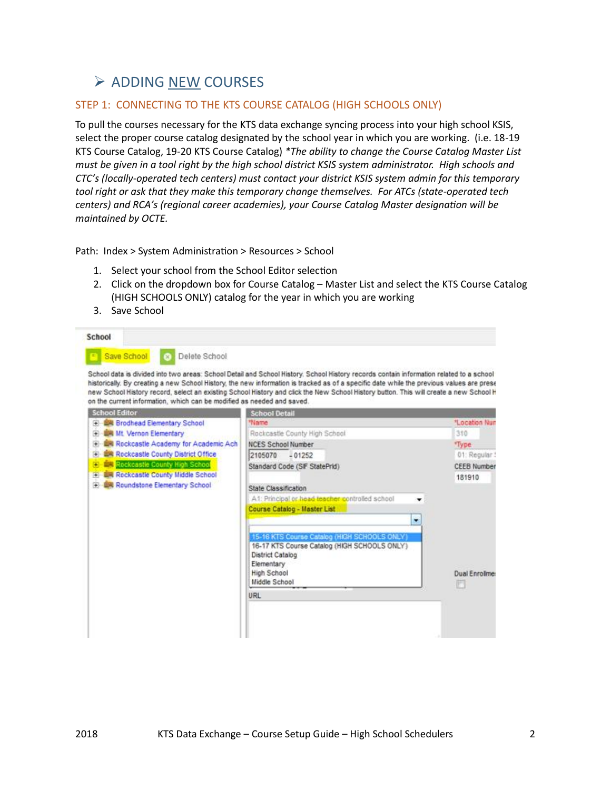# $\triangleright$  ADDING NEW COURSES

# <span id="page-2-0"></span>STEP 1: CONNECTING TO THE KTS COURSE CATALOG (HIGH SCHOOLS ONLY)

To pull the courses necessary for the KTS data exchange syncing process into your high school KSIS, select the proper course catalog designated by the school year in which you are working. (i.e. 18-19 KTS Course Catalog, 19-20 KTS Course Catalog) *\*The ability to change the Course Catalog Master List must be given in a tool right by the high school district KSIS system administrator. High schools and CTC's (locally-operated tech centers) must contact your district KSIS system admin for this temporary tool right or ask that they make this temporary change themselves. For ATCs (state-operated tech centers) and RCA's (regional career academies), your Course Catalog Master designation will be maintained by OCTE.*

Path: Index > System Administration > Resources > School

- 1. Select your school from the School Editor selection
- 2. Click on the dropdown box for Course Catalog Master List and select the KTS Course Catalog (HIGH SCHOOLS ONLY) catalog for the year in which you are working
- 3. Save School

|                                                                        | School data is divided into two areas: School Detail and School History. School History records contain information related to a school                                                                                                                                           |                     |
|------------------------------------------------------------------------|-----------------------------------------------------------------------------------------------------------------------------------------------------------------------------------------------------------------------------------------------------------------------------------|---------------------|
| on the current information, which can be modified as needed and saved. | historically. By creating a new School History, the new information is tracked as of a specific date while the previous values are prese<br>new School History record, select an existing School History and click the New School History button. This will create a new School H |                     |
| <b>School Editor</b>                                                   | <b>School Detail</b>                                                                                                                                                                                                                                                              |                     |
| <b>ER Brodhead Elementary School</b>                                   | *Name                                                                                                                                                                                                                                                                             | *Location Nun       |
| <b>UM Mt. Vernon Elementary</b>                                        | Rockcastle County High School                                                                                                                                                                                                                                                     | 310                 |
| <b>ER Rockcastle Academy for Academic Ach</b>                          | <b>NCES School Number</b>                                                                                                                                                                                                                                                         | "Type:              |
| <b>ER Rockcastle County District Office</b>                            | 2105070<br>$-01252$                                                                                                                                                                                                                                                               | 01: Requiar!        |
| Rockcastle County High School                                          | Standard Code (SIF StatePrid)                                                                                                                                                                                                                                                     | <b>CEEB Number</b>  |
| <b>LIR Rockcastle County Middle School</b>                             |                                                                                                                                                                                                                                                                                   | 181910              |
| Roundstone Elementary School                                           | State Classification                                                                                                                                                                                                                                                              |                     |
|                                                                        | A1: Principal or head teacher controlled school                                                                                                                                                                                                                                   |                     |
|                                                                        | Course Catalog - Master List                                                                                                                                                                                                                                                      |                     |
|                                                                        | ٠                                                                                                                                                                                                                                                                                 |                     |
|                                                                        |                                                                                                                                                                                                                                                                                   |                     |
|                                                                        | 15-16 KTS Course Catalog (HIGH SCHOOLS ONLY)<br>16-17 KTS Course Catalog (HIGH SCHOOLS ONLY)                                                                                                                                                                                      |                     |
|                                                                        | District Catalog                                                                                                                                                                                                                                                                  |                     |
|                                                                        | Elementary                                                                                                                                                                                                                                                                        |                     |
|                                                                        | <b>High School</b>                                                                                                                                                                                                                                                                | <b>Dual Enrolme</b> |
|                                                                        | Middle School                                                                                                                                                                                                                                                                     |                     |
|                                                                        | URL                                                                                                                                                                                                                                                                               |                     |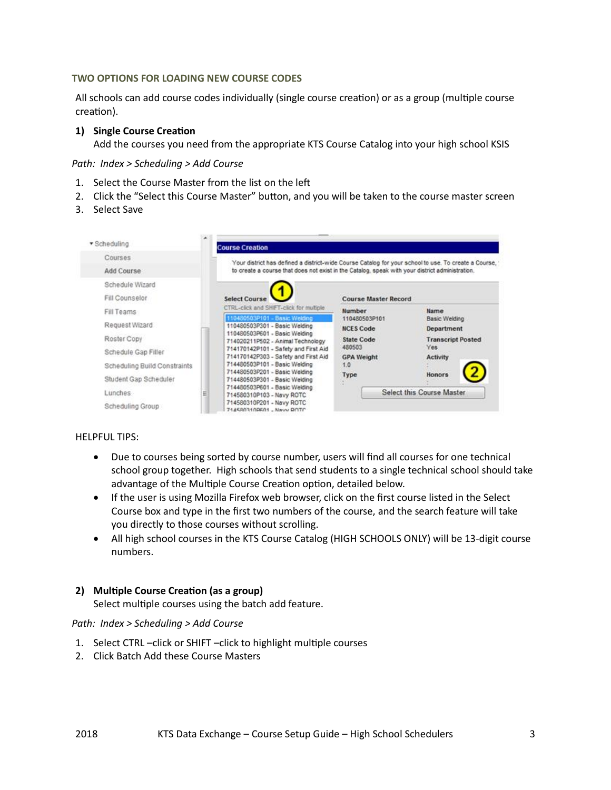#### **TWO OPTIONS FOR LOADING NEW COURSE CODES**

All schools can add course codes individually (single course creation) or as a group (multiple course creation).

# **1) Single Course Creation**

Add the courses you need from the appropriate KTS Course Catalog into your high school KSIS

*Path: Index > Scheduling > Add Course*

- 1. Select the Course Master from the list on the left
- 2. Click the "Select this Course Master" button, and you will be taken to the course master screen
- 3. Select Save

| · Scheduling                                          | <b>Course Creation</b>                                                                                                                  |                                                                                                                                                                                                         |                                            |
|-------------------------------------------------------|-----------------------------------------------------------------------------------------------------------------------------------------|---------------------------------------------------------------------------------------------------------------------------------------------------------------------------------------------------------|--------------------------------------------|
| Courses<br>Add Course<br>Schedule Wizard              |                                                                                                                                         | Your district has defined a district-wide Course Catalog for your school to use. To create a Course,<br>to create a course that does not exist in the Catalog, speak with your district administration. |                                            |
| Fill Counselor                                        | <b>Select Course</b>                                                                                                                    | <b>Course Master Record</b>                                                                                                                                                                             |                                            |
| Fill Teams<br>Request Wizard                          | CTRL-click and SHIFT-click for multiple<br>110480503P101 - Basic Welding<br>110480503P301 - Basic Welding                               | Number<br>110480503P101<br><b>NCES Code</b>                                                                                                                                                             | Name<br><b>Basic Welding</b><br>Department |
| Roster Copy<br>Schedule Gap Filler                    | 110480503P601 - Basic Welding<br>714020211P502 - Animal Technology<br>714170142P101 - Safety and First Aid                              | <b>State Code</b><br>480503                                                                                                                                                                             | <b>Transcript Posted</b><br><b>Yes</b>     |
| Scheduling Build Constraints<br>Student Gap Scheduler | 714170142P303 - Safety and First Aid<br>714480503P101 - Basic Welding<br>714480503P201 - Basic Welding<br>714480503P301 - Basic Welding | <b>GPA Weight</b><br>1.0<br>Type                                                                                                                                                                        | <b>Activity</b><br>Honors                  |
| Lunches<br>Scheduling Group                           | 714480503P601 - Basic Welding<br>E<br>714580310P103 - Navy ROTC<br>714580310P201 - Navy ROTC<br>7145803108801 - Navy ROTC               |                                                                                                                                                                                                         | Select this Course Master                  |

#### HELPFUL TIPS:

- Due to courses being sorted by course number, users will find all courses for one technical school group together. High schools that send students to a single technical school should take advantage of the Multiple Course Creation option, detailed below.
- If the user is using Mozilla Firefox web browser, click on the first course listed in the Select Course box and type in the first two numbers of the course, and the search feature will take you directly to those courses without scrolling.
- All high school courses in the KTS Course Catalog (HIGH SCHOOLS ONLY) will be 13-digit course numbers.

## **2) Multiple Course Creation (as a group)**

Select multiple courses using the batch add feature.

#### *Path: Index > Scheduling > Add Course*

- 1. Select CTRL –click or SHIFT –click to highlight multiple courses
- 2. Click Batch Add these Course Masters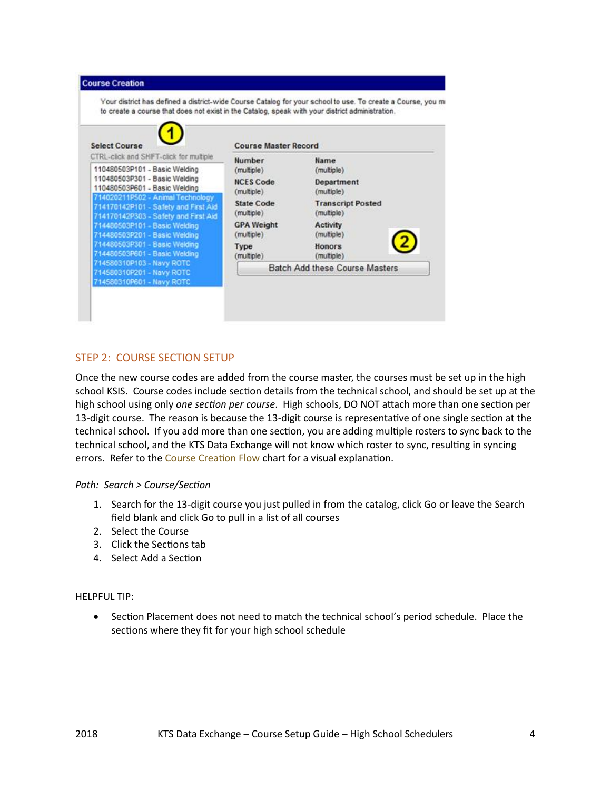

# STEP 2: COURSE SECTION SETUP

Once the new course codes are added from the course master, the courses must be set up in the high school KSIS. Course codes include section details from the technical school, and should be set up at the high school using only *one section per course*. High schools, DO NOT attach more than one section per 13-digit course. The reason is because the 13-digit course is representative of one single section at the technical school. If you add more than one section, you are adding multiple rosters to sync back to the technical school, and the KTS Data Exchange will not know which roster to sync, resulting in syncing errors. Refer to th[e Course Creation Flow](https://education.ky.gov/districts/tech/sis/Documents/Course_Creation_Flow.pdf) chart for a visual explanation.

## *Path: Search > Course/Section*

- 1. Search for the 13-digit course you just pulled in from the catalog, click Go or leave the Search field blank and click Go to pull in a list of all courses
- 2. Select the Course
- 3. Click the Sections tab
- 4. Select Add a Section

## HELPFUL TIP:

• Section Placement does not need to match the technical school's period schedule. Place the sections where they fit for your high school schedule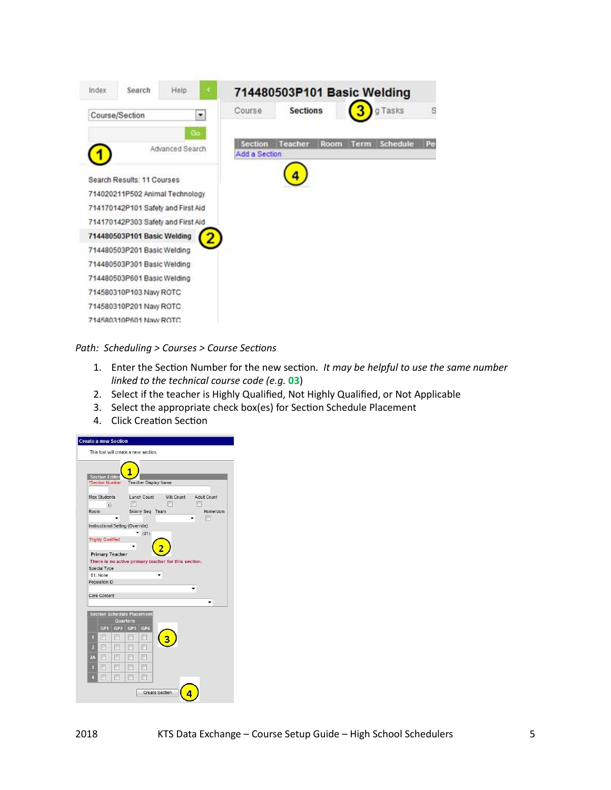

*Path: Scheduling > Courses > Course Sections*

- 1. Enter the Section Number for the new section. *It may be helpful to use the same number linked to the technical course code (e.g.* **03**)
- 2. Select if the teacher is Highly Qualified, Not Highly Qualified, or Not Applicable
- 3. Select the appropriate check box(es) for Section Schedule Placement
- 4. Click Creation Section

|                |                                         |                        |                                   | This tool will create a new section. |                                                      |             |          |
|----------------|-----------------------------------------|------------------------|-----------------------------------|--------------------------------------|------------------------------------------------------|-------------|----------|
|                |                                         |                        |                                   |                                      |                                                      |             |          |
|                | <b>Section Edito</b><br>*Section Number |                        |                                   | <b>Teacher Display Name</b>          |                                                      |             |          |
|                |                                         |                        |                                   |                                      |                                                      |             |          |
|                | <b>Max Students</b>                     |                        |                                   | Lunch Count                          | Milk Count                                           | Adult Count |          |
| Room           | $\bigcirc$                              |                        |                                   | Skinny Seq Team                      |                                                      |             | Homeroom |
|                |                                         |                        |                                   |                                      |                                                      |             |          |
|                |                                         |                        | Instructional Setting (Override)  |                                      |                                                      |             |          |
|                | "Highly Qualified                       |                        |                                   | (01)                                 |                                                      |             |          |
|                |                                         |                        |                                   |                                      |                                                      |             |          |
|                |                                         | <b>Primary Teacher</b> |                                   |                                      |                                                      |             |          |
|                |                                         |                        |                                   |                                      |                                                      |             |          |
|                |                                         |                        |                                   |                                      | There is no active primary teacher for this section. |             |          |
|                | Special Type<br>01: None                |                        |                                   |                                      |                                                      |             |          |
|                | Population ID                           |                        |                                   |                                      |                                                      |             |          |
|                |                                         |                        |                                   |                                      |                                                      |             |          |
|                | Core Content                            |                        |                                   |                                      |                                                      |             |          |
|                |                                         |                        | <b>Section Schedule Placement</b> |                                      |                                                      |             |          |
|                |                                         |                        | Quarters                          |                                      |                                                      |             |          |
|                | GP <sub>1</sub>                         |                        | GP2 GP3 GP4                       |                                      |                                                      |             |          |
| 4              | F                                       | Г                      | m                                 | F                                    |                                                      |             |          |
| $\overline{2}$ | 圈                                       | m                      | m                                 | m                                    |                                                      |             |          |
| 2A             | 膻                                       |                        | 同                                 | m                                    |                                                      |             |          |
| 3              | (IM)                                    | m                      | 爬                                 | (m                                   |                                                      |             |          |
| ŋ              | 冊                                       | 同                      | 同                                 | г                                    |                                                      |             |          |